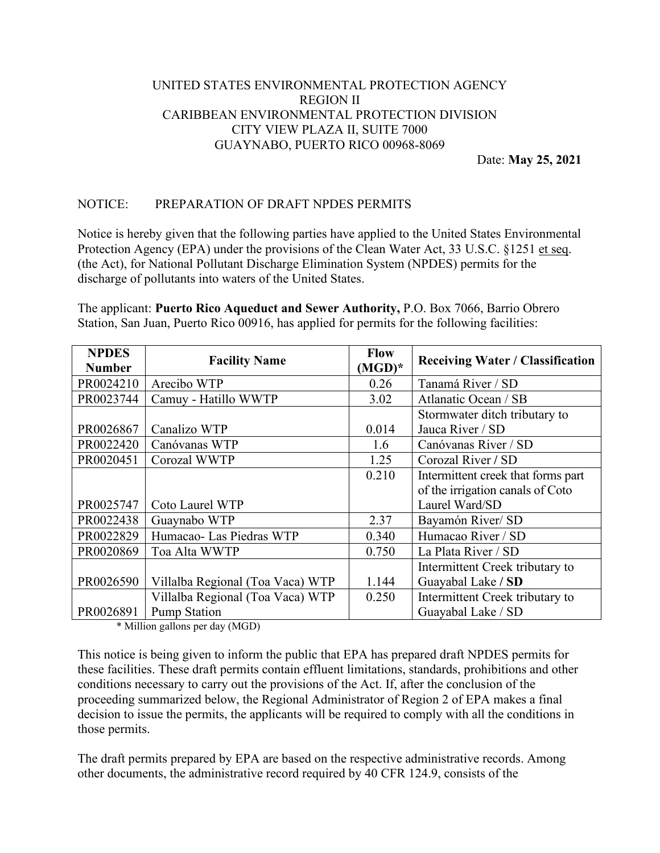## UNITED STATES ENVIRONMENTAL PROTECTION AGENCY REGION II CARIBBEAN ENVIRONMENTAL PROTECTION DIVISION CITY VIEW PLAZA II, SUITE 7000 GUAYNABO, PUERTO RICO 00968-8069

Date: **May 25, 2021**

## NOTICE: PREPARATION OF DRAFT NPDES PERMITS

Notice is hereby given that the following parties have applied to the United States Environmental Protection Agency (EPA) under the provisions of the Clean Water Act, 33 U.S.C. §1251 et seq. (the Act), for National Pollutant Discharge Elimination System (NPDES) permits for the discharge of pollutants into waters of the United States.

The applicant: **Puerto Rico Aqueduct and Sewer Authority,** P.O. Box 7066, Barrio Obrero Station, San Juan, Puerto Rico 00916, has applied for permits for the following facilities:

| <b>NPDES</b><br><b>Number</b> | <b>Facility Name</b>             | <b>Flow</b><br>$(MGD)^*$ | <b>Receiving Water / Classification</b> |
|-------------------------------|----------------------------------|--------------------------|-----------------------------------------|
| PR0024210                     | Arecibo WTP                      | 0.26                     | Tanamá River / SD                       |
| PR0023744                     | Camuy - Hatillo WWTP             | 3.02                     | Atlanatic Ocean / SB                    |
|                               |                                  |                          | Stormwater ditch tributary to           |
| PR0026867                     | Canalizo WTP                     | 0.014                    | Jauca River / SD                        |
| PR0022420                     | Canóvanas WTP                    | 1.6                      | Canóvanas River / SD                    |
| PR0020451                     | Corozal WWTP                     | 1.25                     | Corozal River / SD                      |
|                               |                                  | 0.210                    | Intermittent creek that forms part      |
|                               |                                  |                          | of the irrigation canals of Coto        |
| PR0025747                     | Coto Laurel WTP                  |                          | Laurel Ward/SD                          |
| PR0022438                     | Guaynabo WTP                     | 2.37                     | Bayamón River/SD                        |
| PR0022829                     | Humacao- Las Piedras WTP         | 0.340                    | Humacao River / SD                      |
| PR0020869                     | Toa Alta WWTP                    | 0.750                    | La Plata River / SD                     |
|                               |                                  |                          | Intermittent Creek tributary to         |
| PR0026590                     | Villalba Regional (Toa Vaca) WTP | 1.144                    | Guayabal Lake / SD                      |
|                               | Villalba Regional (Toa Vaca) WTP | 0.250                    | Intermittent Creek tributary to         |
| PR0026891                     | <b>Pump Station</b>              |                          | Guayabal Lake / SD                      |

\* Million gallons per day (MGD)

This notice is being given to inform the public that EPA has prepared draft NPDES permits for these facilities. These draft permits contain effluent limitations, standards, prohibitions and other conditions necessary to carry out the provisions of the Act. If, after the conclusion of the proceeding summarized below, the Regional Administrator of Region 2 of EPA makes a final decision to issue the permits, the applicants will be required to comply with all the conditions in those permits.

The draft permits prepared by EPA are based on the respective administrative records. Among other documents, the administrative record required by 40 CFR 124.9, consists of the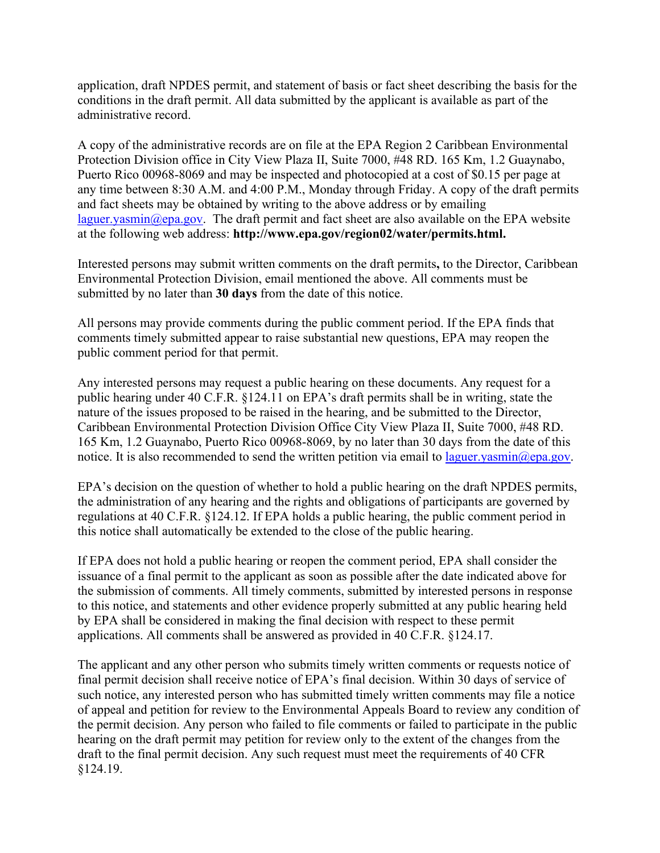application, draft NPDES permit, and statement of basis or fact sheet describing the basis for the conditions in the draft permit. All data submitted by the applicant is available as part of the administrative record.

A copy of the administrative records are on file at the EPA Region 2 Caribbean Environmental Protection Division office in City View Plaza II, Suite 7000, #48 RD. 165 Km, 1.2 Guaynabo, Puerto Rico 00968-8069 and may be inspected and photocopied at a cost of \$0.15 per page at any time between 8:30 A.M. and 4:00 P.M., Monday through Friday. A copy of the draft permits and fact sheets may be obtained by writing to the above address or by emailing [laguer.yasmin@epa.gov.](mailto:laguer.yasmin@epa.gov) The draft permit and fact sheet are also available on the EPA website at the following web address: **http://www.epa.gov/region02/water/permits.html.**

Interested persons may submit written comments on the draft permits**,** to the Director, Caribbean Environmental Protection Division, email mentioned the above. All comments must be submitted by no later than **30 days** from the date of this notice.

All persons may provide comments during the public comment period. If the EPA finds that comments timely submitted appear to raise substantial new questions, EPA may reopen the public comment period for that permit.

Any interested persons may request a public hearing on these documents. Any request for a public hearing under 40 C.F.R. §124.11 on EPA's draft permits shall be in writing, state the nature of the issues proposed to be raised in the hearing, and be submitted to the Director, Caribbean Environmental Protection Division Office City View Plaza II, Suite 7000, #48 RD. 165 Km, 1.2 Guaynabo, Puerto Rico 00968-8069, by no later than 30 days from the date of this notice. It is also recommended to send the written petition via email to  $laguer.yasmin@epa.gov$ .

EPA's decision on the question of whether to hold a public hearing on the draft NPDES permits, the administration of any hearing and the rights and obligations of participants are governed by regulations at 40 C.F.R. §124.12. If EPA holds a public hearing, the public comment period in this notice shall automatically be extended to the close of the public hearing.

If EPA does not hold a public hearing or reopen the comment period, EPA shall consider the issuance of a final permit to the applicant as soon as possible after the date indicated above for the submission of comments. All timely comments, submitted by interested persons in response to this notice, and statements and other evidence properly submitted at any public hearing held by EPA shall be considered in making the final decision with respect to these permit applications. All comments shall be answered as provided in 40 C.F.R. §124.17.

The applicant and any other person who submits timely written comments or requests notice of final permit decision shall receive notice of EPA's final decision. Within 30 days of service of such notice, any interested person who has submitted timely written comments may file a notice of appeal and petition for review to the Environmental Appeals Board to review any condition of the permit decision. Any person who failed to file comments or failed to participate in the public hearing on the draft permit may petition for review only to the extent of the changes from the draft to the final permit decision. Any such request must meet the requirements of 40 CFR §124.19.